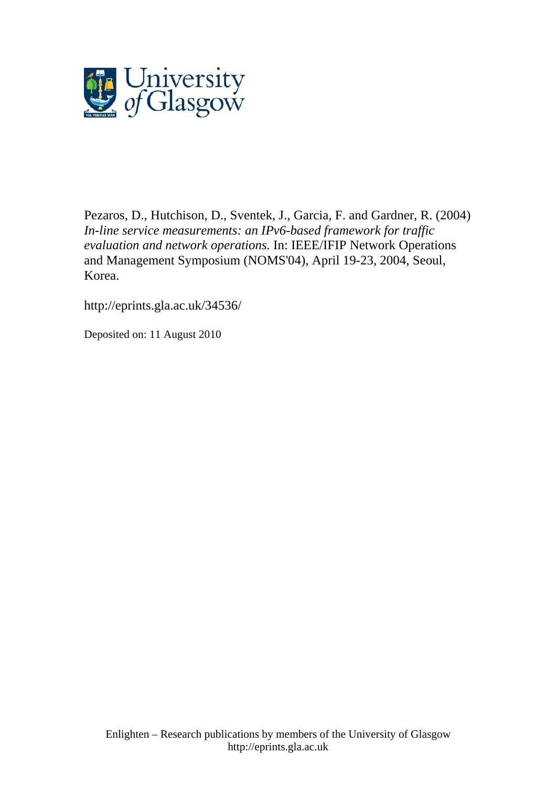

[Pezaros, D.](http://eprints.gla.ac.uk/view/author/5079.html), Hutchison, D., Sventek, J., Garcia, F. and Gardner, R. (2004) *In-line service measurements: an IPv6-based framework for traffic evaluation and network operations.* In: IEEE/IFIP Network Operations and Management Symposium (NOMS'04), April 19-23, 2004, Seoul, Korea.

http://eprints.gla.ac.uk/34536/

Deposited on: 11 August 2010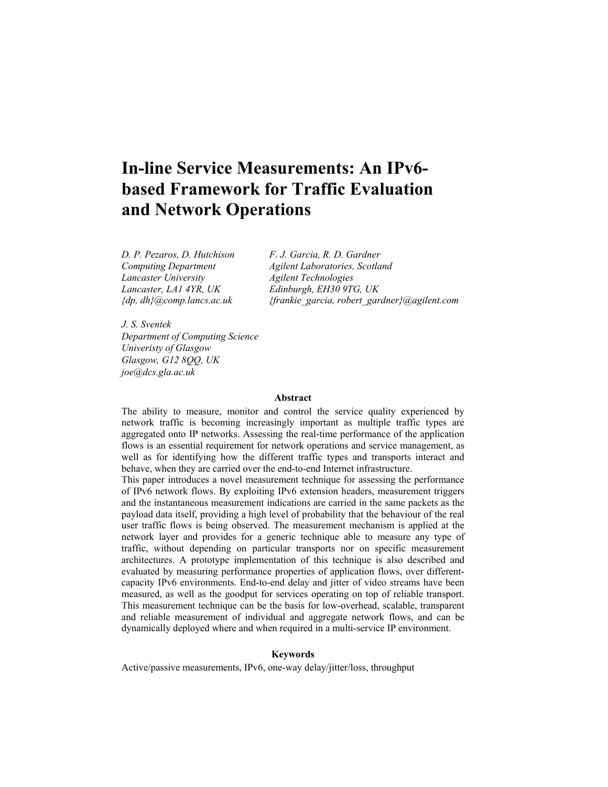# **In-line Service Measurements: An IPv6 based Framework for Traffic Evaluation and Network Operations**

*Lancaster University Agilent Technologies* 

*D. P. Pezaros, D. Hutchison F. J. Garcia, R. D. Gardner Computing Department Agilent Laboratories, Scotland Lancaster, LA1 4YR, UK Edinburgh, EH30 9TG, UK {dp, dh}@comp.lancs.ac.uk {frankie\_garcia, robert\_gardner}@agilent.com* 

*J. S. Sventek Department of Computing Science Univeristy of Glasgow Glasgow, G12 8QQ, UK joe@dcs.gla.ac.uk* 

#### **Abstract**

The ability to measure, monitor and control the service quality experienced by network traffic is becoming increasingly important as multiple traffic types are aggregated onto IP networks. Assessing the real-time performance of the application flows is an essential requirement for network operations and service management, as well as for identifying how the different traffic types and transports interact and behave, when they are carried over the end-to-end Internet infrastructure.

This paper introduces a novel measurement technique for assessing the performance of IPv6 network flows. By exploiting IPv6 extension headers, measurement triggers and the instantaneous measurement indications are carried in the same packets as the payload data itself, providing a high level of probability that the behaviour of the real user traffic flows is being observed. The measurement mechanism is applied at the network layer and provides for a generic technique able to measure any type of traffic, without depending on particular transports nor on specific measurement architectures. A prototype implementation of this technique is also described and evaluated by measuring performance properties of application flows, over differentcapacity IPv6 environments. End-to-end delay and jitter of video streams have been measured, as well as the goodput for services operating on top of reliable transport. This measurement technique can be the basis for low-overhead, scalable, transparent and reliable measurement of individual and aggregate network flows, and can be dynamically deployed where and when required in a multi-service IP environment.

#### **Keywords**

Active/passive measurements, IPv6, one-way delay/jitter/loss, throughput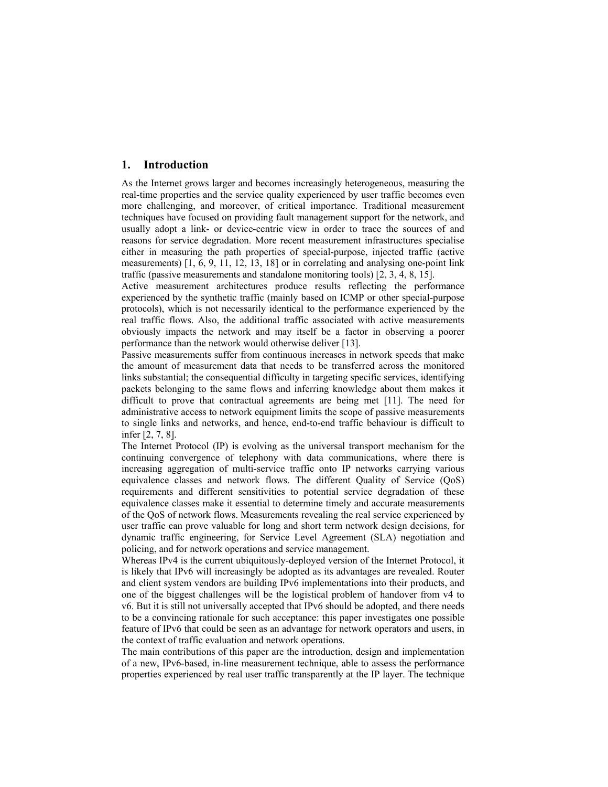## **1. Introduction**

As the Internet grows larger and becomes increasingly heterogeneous, measuring the real-time properties and the service quality experienced by user traffic becomes even more challenging, and moreover, of critical importance. Traditional measurement techniques have focused on providing fault management support for the network, and usually adopt a link- or device-centric view in order to trace the sources of and reasons for service degradation. More recent measurement infrastructures specialise either in measuring the path properties of special-purpose, injected traffic (active measurements) [1, 6, 9, 11, 12, 13, 18] or in correlating and analysing one-point link traffic (passive measurements and standalone monitoring tools) [2, 3, 4, 8, 15].

Active measurement architectures produce results reflecting the performance experienced by the synthetic traffic (mainly based on ICMP or other special-purpose protocols), which is not necessarily identical to the performance experienced by the real traffic flows. Also, the additional traffic associated with active measurements obviously impacts the network and may itself be a factor in observing a poorer performance than the network would otherwise deliver [13].

Passive measurements suffer from continuous increases in network speeds that make the amount of measurement data that needs to be transferred across the monitored links substantial; the consequential difficulty in targeting specific services, identifying packets belonging to the same flows and inferring knowledge about them makes it difficult to prove that contractual agreements are being met [11]. The need for administrative access to network equipment limits the scope of passive measurements to single links and networks, and hence, end-to-end traffic behaviour is difficult to infer [2, 7, 8].

The Internet Protocol (IP) is evolving as the universal transport mechanism for the continuing convergence of telephony with data communications, where there is increasing aggregation of multi-service traffic onto IP networks carrying various equivalence classes and network flows. The different Quality of Service (QoS) requirements and different sensitivities to potential service degradation of these equivalence classes make it essential to determine timely and accurate measurements of the QoS of network flows. Measurements revealing the real service experienced by user traffic can prove valuable for long and short term network design decisions, for dynamic traffic engineering, for Service Level Agreement (SLA) negotiation and policing, and for network operations and service management.

Whereas IPv4 is the current ubiquitously-deployed version of the Internet Protocol, it is likely that IPv6 will increasingly be adopted as its advantages are revealed. Router and client system vendors are building IPv6 implementations into their products, and one of the biggest challenges will be the logistical problem of handover from v4 to v6. But it is still not universally accepted that IPv6 should be adopted, and there needs to be a convincing rationale for such acceptance: this paper investigates one possible feature of IPv6 that could be seen as an advantage for network operators and users, in the context of traffic evaluation and network operations.

The main contributions of this paper are the introduction, design and implementation of a new, IPv6-based, in-line measurement technique, able to assess the performance properties experienced by real user traffic transparently at the IP layer. The technique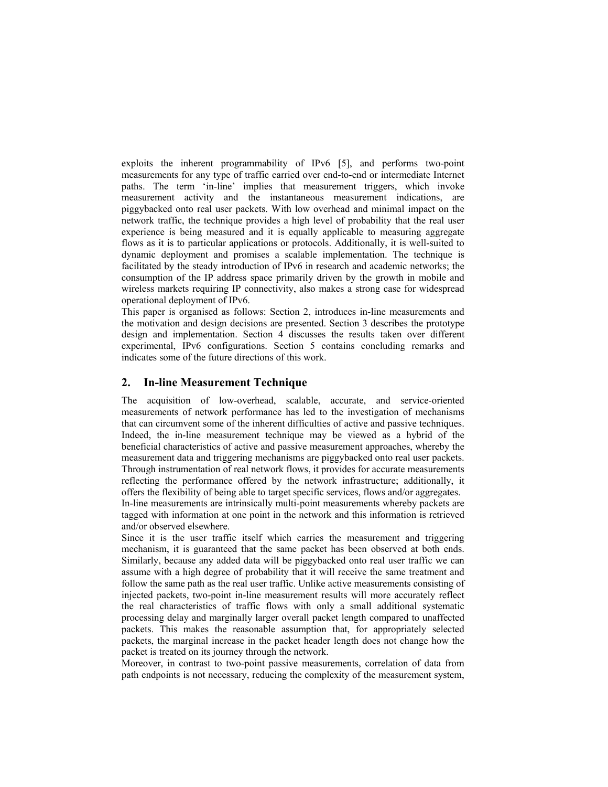exploits the inherent programmability of IPv6 [5], and performs two-point measurements for any type of traffic carried over end-to-end or intermediate Internet paths. The term 'in-line' implies that measurement triggers, which invoke measurement activity and the instantaneous measurement indications, are piggybacked onto real user packets. With low overhead and minimal impact on the network traffic, the technique provides a high level of probability that the real user experience is being measured and it is equally applicable to measuring aggregate flows as it is to particular applications or protocols. Additionally, it is well-suited to dynamic deployment and promises a scalable implementation. The technique is facilitated by the steady introduction of IPv6 in research and academic networks; the consumption of the IP address space primarily driven by the growth in mobile and wireless markets requiring IP connectivity, also makes a strong case for widespread operational deployment of IPv6.

This paper is organised as follows: Section 2, introduces in-line measurements and the motivation and design decisions are presented. Section 3 describes the prototype design and implementation. Section 4 discusses the results taken over different experimental, IPv6 configurations. Section 5 contains concluding remarks and indicates some of the future directions of this work.

## **2. In-line Measurement Technique**

The acquisition of low-overhead, scalable, accurate, and service-oriented measurements of network performance has led to the investigation of mechanisms that can circumvent some of the inherent difficulties of active and passive techniques. Indeed, the in-line measurement technique may be viewed as a hybrid of the beneficial characteristics of active and passive measurement approaches, whereby the measurement data and triggering mechanisms are piggybacked onto real user packets. Through instrumentation of real network flows, it provides for accurate measurements reflecting the performance offered by the network infrastructure; additionally, it offers the flexibility of being able to target specific services, flows and/or aggregates. In-line measurements are intrinsically multi-point measurements whereby packets are

tagged with information at one point in the network and this information is retrieved and/or observed elsewhere.

Since it is the user traffic itself which carries the measurement and triggering mechanism, it is guaranteed that the same packet has been observed at both ends. Similarly, because any added data will be piggybacked onto real user traffic we can assume with a high degree of probability that it will receive the same treatment and follow the same path as the real user traffic. Unlike active measurements consisting of injected packets, two-point in-line measurement results will more accurately reflect the real characteristics of traffic flows with only a small additional systematic processing delay and marginally larger overall packet length compared to unaffected packets. This makes the reasonable assumption that, for appropriately selected packets, the marginal increase in the packet header length does not change how the packet is treated on its journey through the network.

Moreover, in contrast to two-point passive measurements, correlation of data from path endpoints is not necessary, reducing the complexity of the measurement system,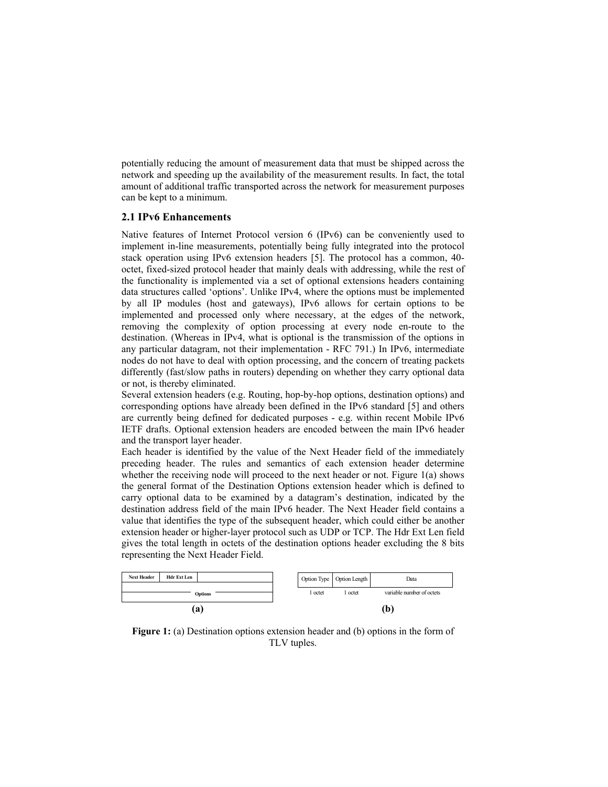potentially reducing the amount of measurement data that must be shipped across the network and speeding up the availability of the measurement results. In fact, the total amount of additional traffic transported across the network for measurement purposes can be kept to a minimum.

#### **2.1 IPv6 Enhancements**

Native features of Internet Protocol version 6 (IPv6) can be conveniently used to implement in-line measurements, potentially being fully integrated into the protocol stack operation using IPv6 extension headers [5]. The protocol has a common, 40 octet, fixed-sized protocol header that mainly deals with addressing, while the rest of the functionality is implemented via a set of optional extensions headers containing data structures called 'options'. Unlike IPv4, where the options must be implemented by all IP modules (host and gateways), IPv6 allows for certain options to be implemented and processed only where necessary, at the edges of the network, removing the complexity of option processing at every node en-route to the destination. (Whereas in IPv4, what is optional is the transmission of the options in any particular datagram, not their implementation - RFC 791.) In IPv6, intermediate nodes do not have to deal with option processing, and the concern of treating packets differently (fast/slow paths in routers) depending on whether they carry optional data or not, is thereby eliminated.

Several extension headers (e.g. Routing, hop-by-hop options, destination options) and corresponding options have already been defined in the IPv6 standard [5] and others are currently being defined for dedicated purposes - e.g. within recent Mobile IPv6 IETF drafts. Optional extension headers are encoded between the main IPv6 header and the transport layer header.

Each header is identified by the value of the Next Header field of the immediately preceding header. The rules and semantics of each extension header determine whether the receiving node will proceed to the next header or not. Figure 1(a) shows the general format of the Destination Options extension header which is defined to carry optional data to be examined by a datagram's destination, indicated by the destination address field of the main IPv6 header. The Next Header field contains a value that identifies the type of the subsequent header, which could either be another extension header or higher-layer protocol such as UDP or TCP. The Hdr Ext Len field gives the total length in octets of the destination options header excluding the 8 bits representing the Next Header Field.



**Figure 1:** (a) Destination options extension header and (b) options in the form of TLV tuples.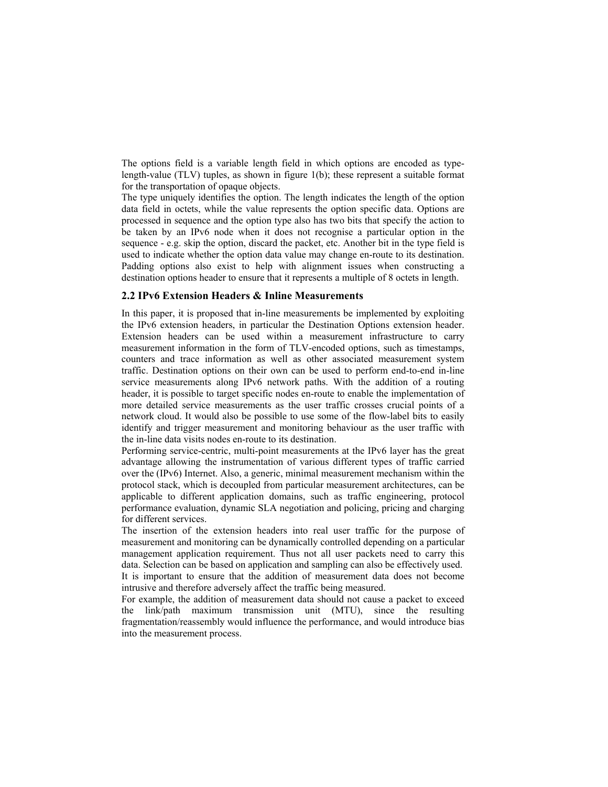The options field is a variable length field in which options are encoded as typelength-value (TLV) tuples, as shown in figure 1(b); these represent a suitable format for the transportation of opaque objects.

The type uniquely identifies the option. The length indicates the length of the option data field in octets, while the value represents the option specific data. Options are processed in sequence and the option type also has two bits that specify the action to be taken by an IPv6 node when it does not recognise a particular option in the sequence - e.g. skip the option, discard the packet, etc. Another bit in the type field is used to indicate whether the option data value may change en-route to its destination. Padding options also exist to help with alignment issues when constructing a destination options header to ensure that it represents a multiple of 8 octets in length.

## **2.2 IPv6 Extension Headers & Inline Measurements**

In this paper, it is proposed that in-line measurements be implemented by exploiting the IPv6 extension headers, in particular the Destination Options extension header. Extension headers can be used within a measurement infrastructure to carry measurement information in the form of TLV-encoded options, such as timestamps, counters and trace information as well as other associated measurement system traffic. Destination options on their own can be used to perform end-to-end in-line service measurements along IPv6 network paths. With the addition of a routing header, it is possible to target specific nodes en-route to enable the implementation of more detailed service measurements as the user traffic crosses crucial points of a network cloud. It would also be possible to use some of the flow-label bits to easily identify and trigger measurement and monitoring behaviour as the user traffic with the in-line data visits nodes en-route to its destination.

Performing service-centric, multi-point measurements at the IPv6 layer has the great advantage allowing the instrumentation of various different types of traffic carried over the (IPv6) Internet. Also, a generic, minimal measurement mechanism within the protocol stack, which is decoupled from particular measurement architectures, can be applicable to different application domains, such as traffic engineering, protocol performance evaluation, dynamic SLA negotiation and policing, pricing and charging for different services.

The insertion of the extension headers into real user traffic for the purpose of measurement and monitoring can be dynamically controlled depending on a particular management application requirement. Thus not all user packets need to carry this data. Selection can be based on application and sampling can also be effectively used.

It is important to ensure that the addition of measurement data does not become intrusive and therefore adversely affect the traffic being measured.

For example, the addition of measurement data should not cause a packet to exceed the link/path maximum transmission unit (MTU), since the resulting fragmentation/reassembly would influence the performance, and would introduce bias into the measurement process.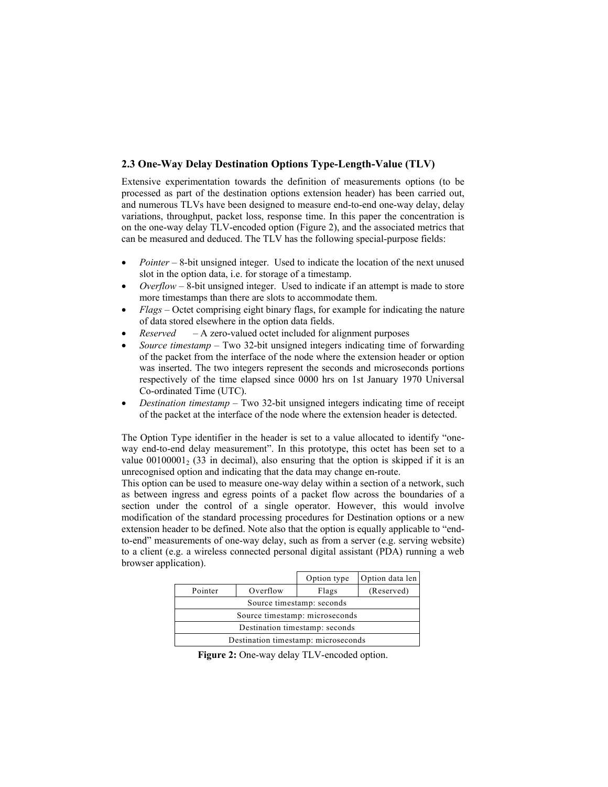# **2.3 One-Way Delay Destination Options Type-Length-Value (TLV)**

Extensive experimentation towards the definition of measurements options (to be processed as part of the destination options extension header) has been carried out, and numerous TLVs have been designed to measure end-to-end one-way delay, delay variations, throughput, packet loss, response time. In this paper the concentration is on the one-way delay TLV-encoded option (Figure 2), and the associated metrics that can be measured and deduced. The TLV has the following special-purpose fields:

- *Pointer* 8-bit unsigned integer. Used to indicate the location of the next unused slot in the option data, i.e. for storage of a timestamp.
- *Overflow* 8-bit unsigned integer. Used to indicate if an attempt is made to store more timestamps than there are slots to accommodate them.
- *Flags* Octet comprising eight binary flags, for example for indicating the nature of data stored elsewhere in the option data fields.
- *Reserved* A zero-valued octet included for alignment purposes
- *Source timestamp* Two 32-bit unsigned integers indicating time of forwarding of the packet from the interface of the node where the extension header or option was inserted. The two integers represent the seconds and microseconds portions respectively of the time elapsed since 0000 hrs on 1st January 1970 Universal Co-ordinated Time (UTC).
- *Destination timestamp* Two 32-bit unsigned integers indicating time of receipt of the packet at the interface of the node where the extension header is detected.

The Option Type identifier in the header is set to a value allocated to identify "oneway end-to-end delay measurement". In this prototype, this octet has been set to a value  $00100001$ ,  $(33 \text{ in decimal})$ , also ensuring that the option is skipped if it is an unrecognised option and indicating that the data may change en-route.

This option can be used to measure one-way delay within a section of a network, such as between ingress and egress points of a packet flow across the boundaries of a section under the control of a single operator. However, this would involve modification of the standard processing procedures for Destination options or a new extension header to be defined. Note also that the option is equally applicable to "endto-end" measurements of one-way delay, such as from a server (e.g. serving website) to a client (e.g. a wireless connected personal digital assistant (PDA) running a web browser application).

|                                     |          | Option type | Option data len |  |  |  |
|-------------------------------------|----------|-------------|-----------------|--|--|--|
| Pointer                             | Overflow | Flags       | (Reserved)      |  |  |  |
| Source timestamp: seconds           |          |             |                 |  |  |  |
| Source timestamp: microseconds      |          |             |                 |  |  |  |
| Destination timestamp: seconds      |          |             |                 |  |  |  |
| Destination timestamp: microseconds |          |             |                 |  |  |  |

**Figure 2:** One-way delay TLV-encoded option.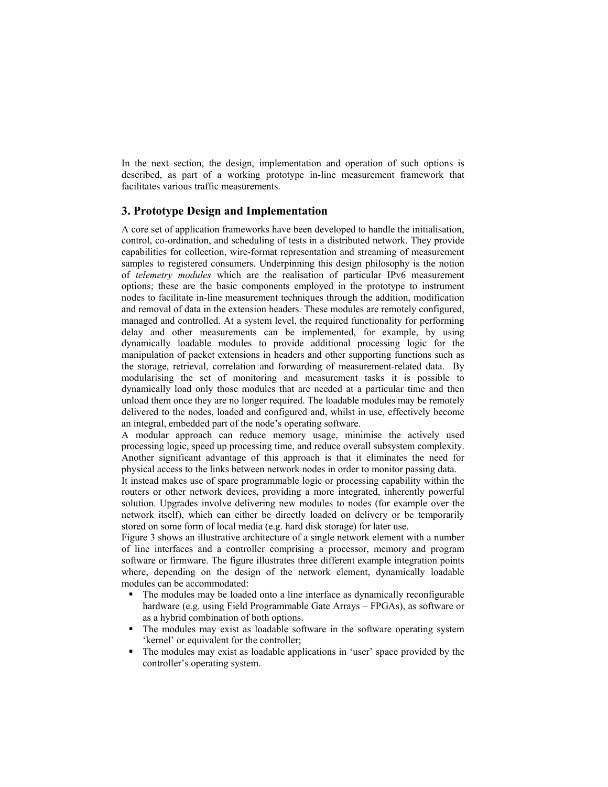In the next section, the design, implementation and operation of such options is described, as part of a working prototype in-line measurement framework that facilitates various traffic measurements.

# **3. Prototype Design and Implementation**

A core set of application frameworks have been developed to handle the initialisation, control, co-ordination, and scheduling of tests in a distributed network. They provide capabilities for collection, wire-format representation and streaming of measurement samples to registered consumers. Underpinning this design philosophy is the notion of *telemetry modules* which are the realisation of particular IPv6 measurement options; these are the basic components employed in the prototype to instrument nodes to facilitate in-line measurement techniques through the addition, modification and removal of data in the extension headers. These modules are remotely configured, managed and controlled. At a system level, the required functionality for performing delay and other measurements can be implemented, for example, by using dynamically loadable modules to provide additional processing logic for the manipulation of packet extensions in headers and other supporting functions such as the storage, retrieval, correlation and forwarding of measurement-related data. By modularising the set of monitoring and measurement tasks it is possible to dynamically load only those modules that are needed at a particular time and then unload them once they are no longer required. The loadable modules may be remotely delivered to the nodes, loaded and configured and, whilst in use, effectively become an integral, embedded part of the node's operating software.

A modular approach can reduce memory usage, minimise the actively used processing logic, speed up processing time, and reduce overall subsystem complexity. Another significant advantage of this approach is that it eliminates the need for physical access to the links between network nodes in order to monitor passing data.

It instead makes use of spare programmable logic or processing capability within the routers or other network devices, providing a more integrated, inherently powerful solution. Upgrades involve delivering new modules to nodes (for example over the network itself), which can either be directly loaded on delivery or be temporarily stored on some form of local media (e.g. hard disk storage) for later use.

Figure 3 shows an illustrative architecture of a single network element with a number of line interfaces and a controller comprising a processor, memory and program software or firmware. The figure illustrates three different example integration points where, depending on the design of the network element, dynamically loadable modules can be accommodated:

- The modules may be loaded onto a line interface as dynamically reconfigurable hardware (e.g. using Field Programmable Gate Arrays – FPGAs), as software or as a hybrid combination of both options.
- The modules may exist as loadable software in the software operating system 'kernel' or equivalent for the controller;
- The modules may exist as loadable applications in 'user' space provided by the controller's operating system.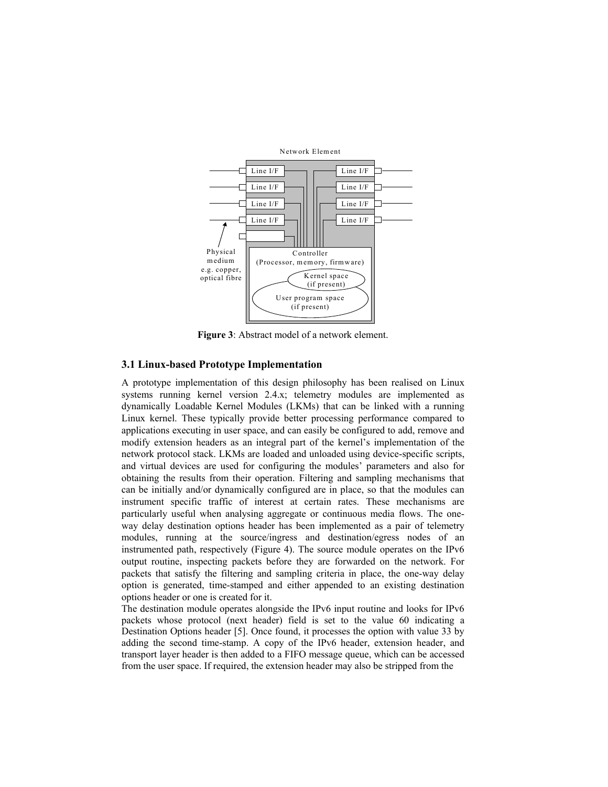

**Figure 3**: Abstract model of a network element.

#### **3.1 Linux-based Prototype Implementation**

A prototype implementation of this design philosophy has been realised on Linux systems running kernel version 2.4.x; telemetry modules are implemented as dynamically Loadable Kernel Modules (LKMs) that can be linked with a running Linux kernel. These typically provide better processing performance compared to applications executing in user space, and can easily be configured to add, remove and modify extension headers as an integral part of the kernel's implementation of the network protocol stack. LKMs are loaded and unloaded using device-specific scripts, and virtual devices are used for configuring the modules' parameters and also for obtaining the results from their operation. Filtering and sampling mechanisms that can be initially and/or dynamically configured are in place, so that the modules can instrument specific traffic of interest at certain rates. These mechanisms are particularly useful when analysing aggregate or continuous media flows. The oneway delay destination options header has been implemented as a pair of telemetry modules, running at the source/ingress and destination/egress nodes of an instrumented path, respectively (Figure 4). The source module operates on the IPv6 output routine, inspecting packets before they are forwarded on the network. For packets that satisfy the filtering and sampling criteria in place, the one-way delay option is generated, time-stamped and either appended to an existing destination options header or one is created for it.

The destination module operates alongside the IPv6 input routine and looks for IPv6 packets whose protocol (next header) field is set to the value 60 indicating a Destination Options header [5]. Once found, it processes the option with value 33 by adding the second time-stamp. A copy of the IPv6 header, extension header, and transport layer header is then added to a FIFO message queue, which can be accessed from the user space. If required, the extension header may also be stripped from the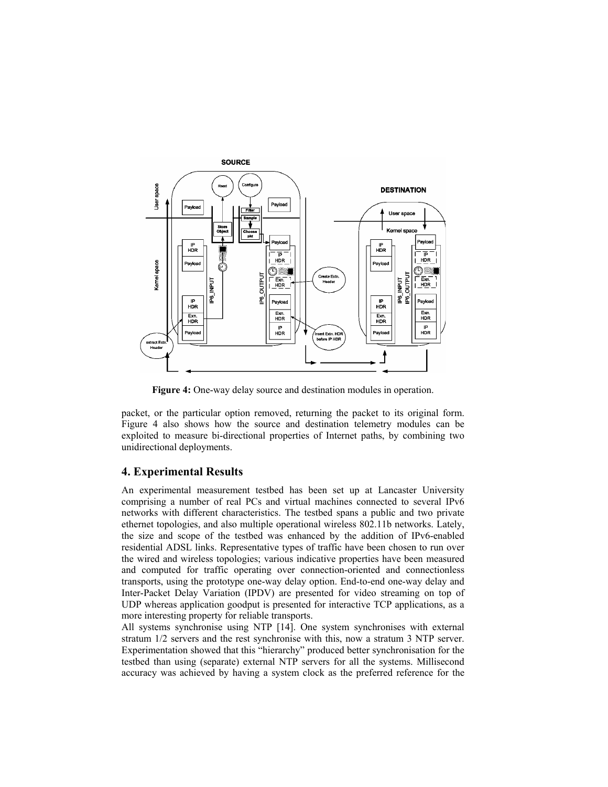

**Figure 4:** One-way delay source and destination modules in operation.

packet, or the particular option removed, returning the packet to its original form. Figure 4 also shows how the source and destination telemetry modules can be exploited to measure bi-directional properties of Internet paths, by combining two unidirectional deployments.

# **4. Experimental Results**

An experimental measurement testbed has been set up at Lancaster University comprising a number of real PCs and virtual machines connected to several IPv6 networks with different characteristics. The testbed spans a public and two private ethernet topologies, and also multiple operational wireless 802.11b networks. Lately, the size and scope of the testbed was enhanced by the addition of IPv6-enabled residential ADSL links. Representative types of traffic have been chosen to run over the wired and wireless topologies; various indicative properties have been measured and computed for traffic operating over connection-oriented and connectionless transports, using the prototype one-way delay option. End-to-end one-way delay and Inter-Packet Delay Variation (IPDV) are presented for video streaming on top of UDP whereas application goodput is presented for interactive TCP applications, as a more interesting property for reliable transports.

All systems synchronise using NTP [14]. One system synchronises with external stratum 1/2 servers and the rest synchronise with this, now a stratum 3 NTP server. Experimentation showed that this "hierarchy" produced better synchronisation for the testbed than using (separate) external NTP servers for all the systems. Millisecond accuracy was achieved by having a system clock as the preferred reference for the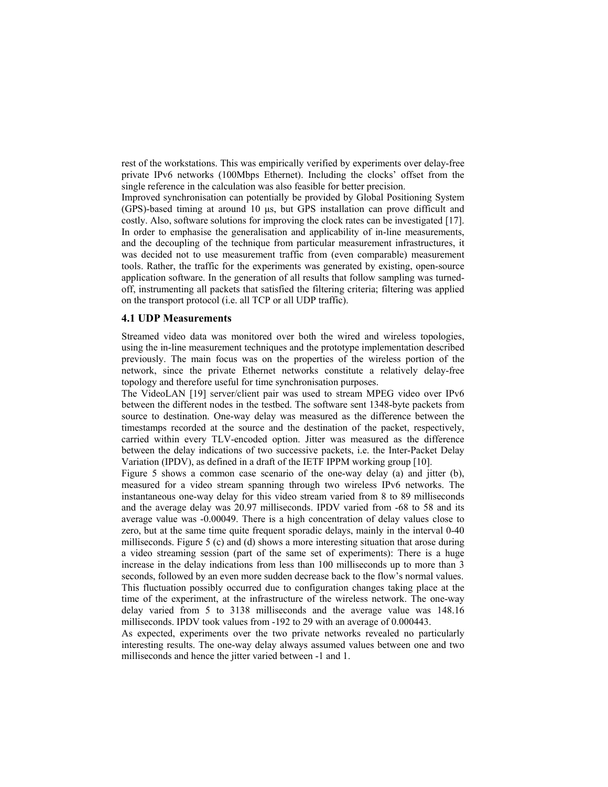rest of the workstations. This was empirically verified by experiments over delay-free private IPv6 networks (100Mbps Ethernet). Including the clocks' offset from the single reference in the calculation was also feasible for better precision.

Improved synchronisation can potentially be provided by Global Positioning System (GPS)-based timing at around 10 µs, but GPS installation can prove difficult and costly. Also, software solutions for improving the clock rates can be investigated [17]. In order to emphasise the generalisation and applicability of in-line measurements, and the decoupling of the technique from particular measurement infrastructures, it was decided not to use measurement traffic from (even comparable) measurement tools. Rather, the traffic for the experiments was generated by existing, open-source application software. In the generation of all results that follow sampling was turnedoff, instrumenting all packets that satisfied the filtering criteria; filtering was applied on the transport protocol (i.e. all TCP or all UDP traffic).

#### **4.1 UDP Measurements**

Streamed video data was monitored over both the wired and wireless topologies, using the in-line measurement techniques and the prototype implementation described previously. The main focus was on the properties of the wireless portion of the network, since the private Ethernet networks constitute a relatively delay-free topology and therefore useful for time synchronisation purposes.

The VideoLAN [19] server/client pair was used to stream MPEG video over IPv6 between the different nodes in the testbed. The software sent 1348-byte packets from source to destination. One-way delay was measured as the difference between the timestamps recorded at the source and the destination of the packet, respectively, carried within every TLV-encoded option. Jitter was measured as the difference between the delay indications of two successive packets, i.e. the Inter-Packet Delay Variation (IPDV), as defined in a draft of the IETF IPPM working group [10].

Figure 5 shows a common case scenario of the one-way delay (a) and jitter (b), measured for a video stream spanning through two wireless IPv6 networks. The instantaneous one-way delay for this video stream varied from 8 to 89 milliseconds and the average delay was 20.97 milliseconds. IPDV varied from -68 to 58 and its average value was -0.00049. There is a high concentration of delay values close to zero, but at the same time quite frequent sporadic delays, mainly in the interval 0-40 milliseconds. Figure 5 (c) and (d) shows a more interesting situation that arose during a video streaming session (part of the same set of experiments): There is a huge increase in the delay indications from less than 100 milliseconds up to more than 3 seconds, followed by an even more sudden decrease back to the flow's normal values. This fluctuation possibly occurred due to configuration changes taking place at the time of the experiment, at the infrastructure of the wireless network. The one-way delay varied from 5 to 3138 milliseconds and the average value was 148.16 milliseconds. IPDV took values from -192 to 29 with an average of 0.000443.

As expected, experiments over the two private networks revealed no particularly interesting results. The one-way delay always assumed values between one and two milliseconds and hence the jitter varied between -1 and 1.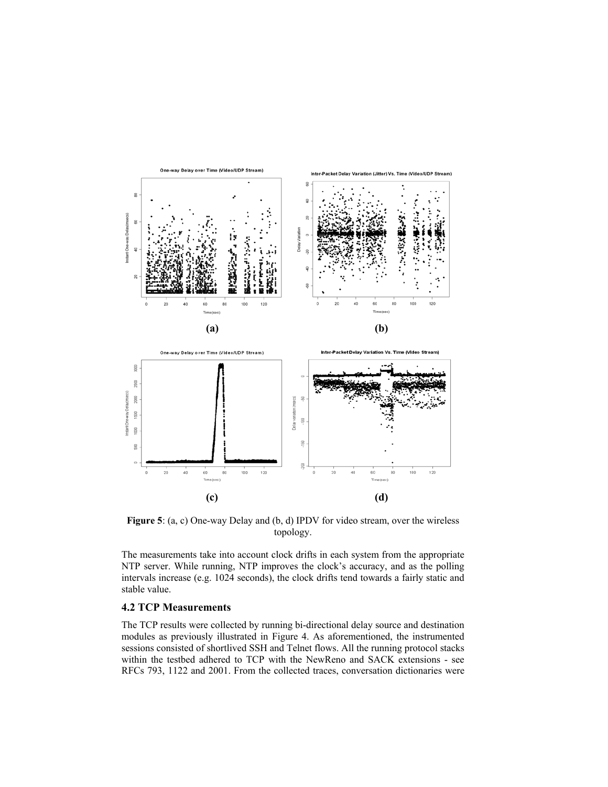

**Figure 5**: (a, c) One-way Delay and (b, d) IPDV for video stream, over the wireless topology.

The measurements take into account clock drifts in each system from the appropriate NTP server. While running, NTP improves the clock's accuracy, and as the polling intervals increase (e.g. 1024 seconds), the clock drifts tend towards a fairly static and stable value.

# **4.2 TCP Measurements**

The TCP results were collected by running bi-directional delay source and destination modules as previously illustrated in Figure 4. As aforementioned, the instrumented sessions consisted of shortlived SSH and Telnet flows. All the running protocol stacks within the testbed adhered to TCP with the NewReno and SACK extensions - see RFCs 793, 1122 and 2001. From the collected traces, conversation dictionaries were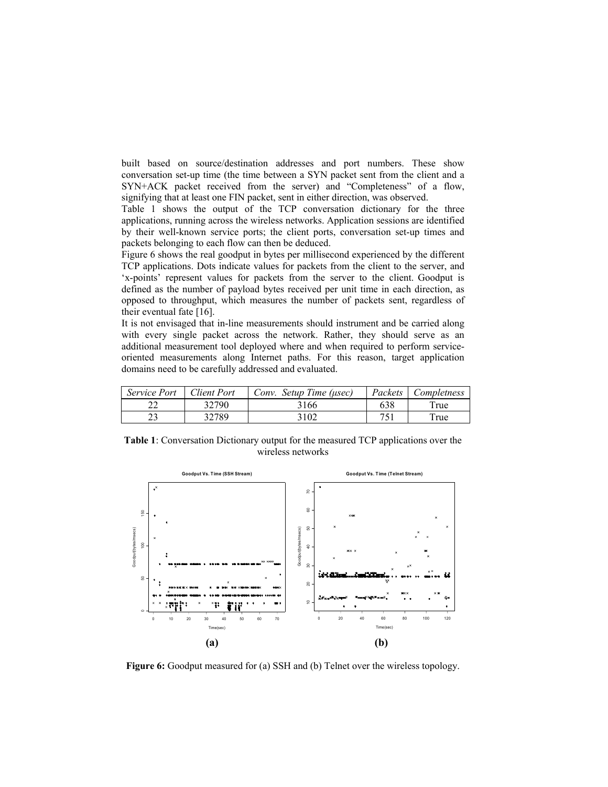built based on source/destination addresses and port numbers. These show conversation set-up time (the time between a SYN packet sent from the client and a SYN+ACK packet received from the server) and "Completeness" of a flow, signifying that at least one FIN packet, sent in either direction, was observed.

Table 1 shows the output of the TCP conversation dictionary for the three applications, running across the wireless networks. Application sessions are identified by their well-known service ports; the client ports, conversation set-up times and packets belonging to each flow can then be deduced.

Figure 6 shows the real goodput in bytes per millisecond experienced by the different TCP applications. Dots indicate values for packets from the client to the server, and 'x-points' represent values for packets from the server to the client. Goodput is defined as the number of payload bytes received per unit time in each direction, as opposed to throughput, which measures the number of packets sent, regardless of their eventual fate [16].

It is not envisaged that in-line measurements should instrument and be carried along with every single packet across the network. Rather, they should serve as an additional measurement tool deployed where and when required to perform serviceoriented measurements along Internet paths. For this reason, target application domains need to be carefully addressed and evaluated.

| <i>Service Port</i> | <b>Client Port</b> | Conv. Setup Time (usec) | Packets | Completness      |
|---------------------|--------------------|-------------------------|---------|------------------|
|                     | 32790              | 3166                    | 638     | r <sub>ru</sub>  |
|                     | 32789              | 3102                    | 751     | T <sub>rue</sub> |

**Table 1**: Conversation Dictionary output for the measured TCP applications over the wireless networks



**Figure 6:** Goodput measured for (a) SSH and (b) Telnet over the wireless topology.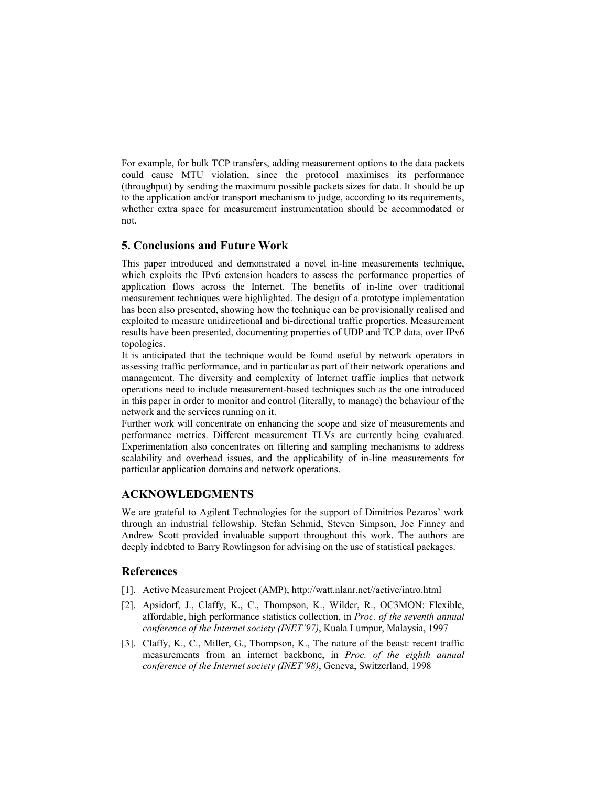For example, for bulk TCP transfers, adding measurement options to the data packets could cause MTU violation, since the protocol maximises its performance (throughput) by sending the maximum possible packets sizes for data. It should be up to the application and/or transport mechanism to judge, according to its requirements, whether extra space for measurement instrumentation should be accommodated or not.

# **5. Conclusions and Future Work**

This paper introduced and demonstrated a novel in-line measurements technique, which exploits the IPv6 extension headers to assess the performance properties of application flows across the Internet. The benefits of in-line over traditional measurement techniques were highlighted. The design of a prototype implementation has been also presented, showing how the technique can be provisionally realised and exploited to measure unidirectional and bi-directional traffic properties. Measurement results have been presented, documenting properties of UDP and TCP data, over IPv6 topologies.

It is anticipated that the technique would be found useful by network operators in assessing traffic performance, and in particular as part of their network operations and management. The diversity and complexity of Internet traffic implies that network operations need to include measurement-based techniques such as the one introduced in this paper in order to monitor and control (literally, to manage) the behaviour of the network and the services running on it.

Further work will concentrate on enhancing the scope and size of measurements and performance metrics. Different measurement TLVs are currently being evaluated. Experimentation also concentrates on filtering and sampling mechanisms to address scalability and overhead issues, and the applicability of in-line measurements for particular application domains and network operations.

# **ACKNOWLEDGMENTS**

We are grateful to Agilent Technologies for the support of Dimitrios Pezaros' work through an industrial fellowship. Stefan Schmid, Steven Simpson, Joe Finney and Andrew Scott provided invaluable support throughout this work. The authors are deeply indebted to Barry Rowlingson for advising on the use of statistical packages.

#### **References**

- [1]. Active Measurement Project (AMP), http://watt.nlanr.net//active/intro.html
- [2]. Apsidorf, J., Claffy, K., C., Thompson, K., Wilder, R., OC3MON: Flexible, affordable, high performance statistics collection, in *Proc. of the seventh annual conference of the Internet society (INET'97)*, Kuala Lumpur, Malaysia, 1997
- [3]. Claffy, K., C., Miller, G., Thompson, K., The nature of the beast: recent traffic measurements from an internet backbone, in *Proc. of the eighth annual conference of the Internet society (INET'98)*, Geneva, Switzerland, 1998